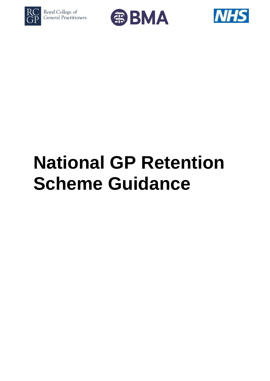





# **National GP Retention Scheme Guidance**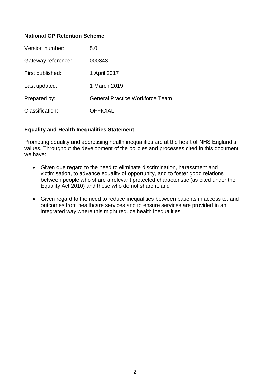#### **National GP Retention Scheme**

| Version number:    | 5.0                                    |
|--------------------|----------------------------------------|
| Gateway reference: | 000343                                 |
| First published:   | 1 April 2017                           |
| Last updated:      | 1 March 2019                           |
| Prepared by:       | <b>General Practice Workforce Team</b> |
| Classification:    | <b>OFFICIAL</b>                        |

#### **Equality and Health Inequalities Statement**

Promoting equality and addressing health inequalities are at the heart of NHS England's values. Throughout the development of the policies and processes cited in this document, we have:

- Given due regard to the need to eliminate discrimination, harassment and victimisation, to advance equality of opportunity, and to foster good relations between people who share a relevant protected characteristic (as cited under the Equality Act 2010) and those who do not share it; and
- Given regard to the need to reduce inequalities between patients in access to, and outcomes from healthcare services and to ensure services are provided in an integrated way where this might reduce health inequalities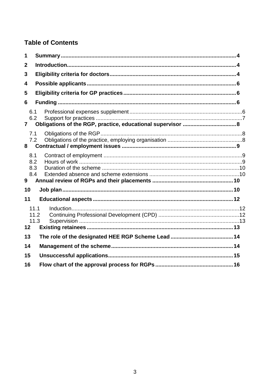# **Table of Contents**

| 1              |                          |  |
|----------------|--------------------------|--|
| $\overline{2}$ |                          |  |
| 3              |                          |  |
| 4              |                          |  |
| 5              |                          |  |
| 6              |                          |  |
| $\overline{7}$ | 6.1<br>6.2               |  |
| 8              | 7.1<br>7.2               |  |
| 9              | 8.1<br>8.2<br>8.3<br>8.4 |  |
| 10             |                          |  |
| 11             |                          |  |
| 12             | 11.1<br>11.2<br>11.3     |  |
| 13             |                          |  |
| 14             |                          |  |
| 15             |                          |  |
| 16             |                          |  |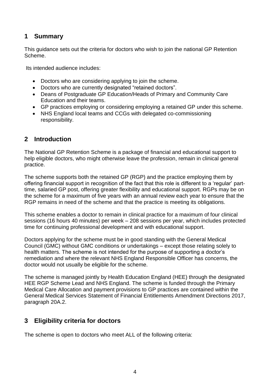## <span id="page-3-0"></span>**1 Summary**

This guidance sets out the criteria for doctors who wish to join the national GP Retention Scheme.

Its intended audience includes:

- Doctors who are considering applying to join the scheme.
- Doctors who are currently designated "retained doctors".
- Deans of Postgraduate GP Education/Heads of Primary and Community Care Education and their teams.
- GP practices employing or considering employing a retained GP under this scheme.
- NHS England local teams and CCGs with delegated co-commissioning responsibility.

#### <span id="page-3-1"></span>**2 Introduction**

The National GP Retention Scheme is a package of financial and educational support to help eligible doctors, who might otherwise leave the profession, remain in clinical general practice.

The scheme supports both the retained GP (RGP) and the practice employing them by offering financial support in recognition of the fact that this role is different to a 'regular' parttime, salaried GP post, offering greater flexibility and educational support. RGPs may be on the scheme for a maximum of five years with an annual review each year to ensure that the RGP remains in need of the scheme and that the practice is meeting its obligations.

This scheme enables a doctor to remain in clinical practice for a maximum of four clinical sessions (16 hours 40 minutes) per week – 208 sessions per year, which includes protected time for continuing professional development and with educational support.

Doctors applying for the scheme must be in good standing with the General Medical Council (GMC) without GMC conditions or undertakings – except those relating solely to health matters. The scheme is not intended for the purpose of supporting a doctor's remediation and where the relevant NHS England Responsible Officer has concerns, the doctor would not usually be eligible for the scheme.

The scheme is managed jointly by Health Education England (HEE) through the designated HEE RGP Scheme Lead and NHS England. The scheme is funded through the Primary Medical Care Allocation and payment provisions to GP practices are contained within the General Medical Services Statement of Financial Entitlements Amendment Directions 2017, paragraph 20A.2.

#### <span id="page-3-2"></span>**3 Eligibility criteria for doctors**

The scheme is open to doctors who meet ALL of the following criteria: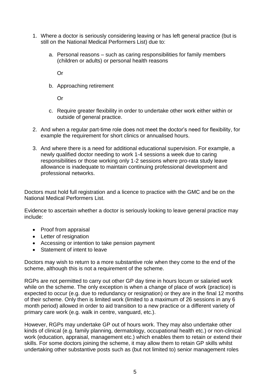- 1. Where a doctor is seriously considering leaving or has left general practice (but is still on the National Medical Performers List) due to:
	- a. Personal reasons such as caring responsibilities for family members (children or adults) or personal health reasons

Or

b. Approaching retirement

Or

- c. Require greater flexibility in order to undertake other work either within or outside of general practice.
- 2. And when a regular part-time role does not meet the doctor's need for flexibility, for example the requirement for short clinics or annualised hours.
- 3. And where there is a need for additional educational supervision. For example, a newly qualified doctor needing to work 1-4 sessions a week due to caring responsibilities or those working only 1-2 sessions where pro-rata study leave allowance is inadequate to maintain continuing professional development and professional networks.

Doctors must hold full registration and a licence to practice with the GMC and be on the National Medical Performers List.

Evidence to ascertain whether a doctor is seriously looking to leave general practice may include:

- Proof from appraisal
- Letter of resignation
- Accessing or intention to take pension payment
- Statement of intent to leave

Doctors may wish to return to a more substantive role when they come to the end of the scheme, although this is not a requirement of the scheme.

RGPs are not permitted to carry out other GP day time in hours locum or salaried work while on the scheme. The only exception is when a change of place of work (practice) is expected to occur (e.g. due to redundancy or resignation) or they are in the final 12 months of their scheme. Only then is limited work (limited to a maximum of 26 sessions in any 6 month period) allowed in order to aid transition to a new practice or a different variety of primary care work (e.g. walk in centre, vanguard, etc.).

However, RGPs may undertake GP out of hours work. They may also undertake other kinds of clinical (e.g. family planning, dermatology, occupational health etc.) or non-clinical work (education, appraisal, management etc.) which enables them to retain or extend their skills. For some doctors joining the scheme, it may allow them to retain GP skills whilst undertaking other substantive posts such as (but not limited to) senior management roles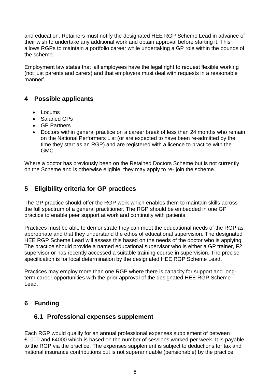and education. Retainers must notify the designated HEE RGP Scheme Lead in advance of their wish to undertake any additional work and obtain approval before starting it. This allows RGPs to maintain a portfolio career while undertaking a GP role within the bounds of the scheme.

Employment law states that 'all employees have the legal right to request flexible working (not just parents and carers) and that employers must deal with requests in a reasonable manner'.

## <span id="page-5-0"></span>**4 Possible applicants**

- Locums
- Salaried GPs
- GP Partners
- Doctors within general practice on a career break of less than 24 months who remain on the National Performers List (or are expected to have been re-admitted by the time they start as an RGP) and are registered with a licence to practice with the GMC.

Where a doctor has previously been on the Retained Doctors Scheme but is not currently on the Scheme and is otherwise eligible, they may apply to re- join the scheme.

## <span id="page-5-1"></span>**5 Eligibility criteria for GP practices**

The GP practice should offer the RGP work which enables them to maintain skills across the full spectrum of a general practitioner. The RGP should be embedded in one GP practice to enable peer support at work and continuity with patients.

Practices must be able to demonstrate they can meet the educational needs of the RGP as appropriate and that they understand the ethos of educational supervision. The designated HEE RGP Scheme Lead will assess this based on the needs of the doctor who is applying. The practice should provide a named educational supervisor who is either a GP trainer, F2 supervisor or has recently accessed a suitable training course in supervision. The precise specification is for local determination by the designated HEE RGP Scheme Lead.

Practices may employ more than one RGP where there is capacity for support and longterm career opportunities with the prior approval of the designated HEE RGP Scheme Lead.

## <span id="page-5-2"></span>**6 Funding**

#### <span id="page-5-3"></span>**6.1 Professional expenses supplement**

Each RGP would qualify for an annual professional expenses supplement of between £1000 and £4000 which is based on the number of sessions worked per week. It is payable to the RGP via the practice. The expenses supplement is subject to deductions for tax and national insurance contributions but is not superannuable (pensionable) by the practice.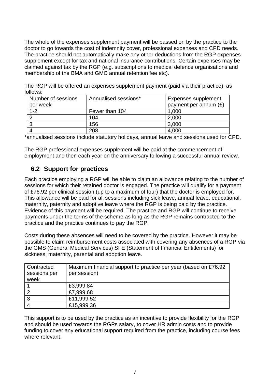The whole of the expenses supplement payment will be passed on by the practice to the doctor to go towards the cost of indemnity cover, professional expenses and CPD needs. The practice should not automatically make any other deductions from the RGP expenses supplement except for tax and national insurance contributions. Certain expenses may be claimed against tax by the RGP (e.g. subscriptions to medical defence organisations and membership of the BMA and GMC annual retention fee etc).

The RGP will be offered an expenses supplement payment (paid via their practice), as follows:

| Number of sessions<br>per week | Annualised sessions* | Expenses supplement<br>payment per annum (£) |
|--------------------------------|----------------------|----------------------------------------------|
| $1 - 2$                        | Fewer than 104       | 1,000                                        |
|                                | 104                  | 2,000                                        |
|                                | 156                  | 3,000                                        |
|                                | 208                  | 4,000                                        |

\*annualised sessions include statutory holidays, annual leave and sessions used for CPD.

The RGP professional expenses supplement will be paid at the commencement of employment and then each year on the anniversary following a successful annual review.

## <span id="page-6-0"></span>**6.2 Support for practices**

Each practice employing a RGP will be able to claim an allowance relating to the number of sessions for which their retained doctor is engaged. The practice will qualify for a payment of £76.92 per clinical session (up to a maximum of four) that the doctor is employed for. This allowance will be paid for all sessions including sick leave, annual leave, educational, maternity, paternity and adoptive leave where the RGP is being paid by the practice. Evidence of this payment will be required. The practice and RGP will continue to receive payments under the terms of the scheme as long as the RGP remains contracted to the practice and the practice continues to pay the RGP.

Costs during these absences will need to be covered by the practice. However it may be possible to claim reimbursement costs associated with covering any absences of a RGP via the GMS (General Medical Services) SFE (Statement of Financial Entitlements) for sickness, maternity, parental and adoption leave.

| Contracted   | Maximum financial support to practice per year (based on £76.92 |
|--------------|-----------------------------------------------------------------|
| sessions per | per session)                                                    |
| week         |                                                                 |
|              | £3,999.84                                                       |
|              | £7,999.68                                                       |
| 2            | £11,999.52                                                      |
|              | £15,999.36                                                      |

This support is to be used by the practice as an incentive to provide flexibility for the RGP and should be used towards the RGPs salary, to cover HR admin costs and to provide funding to cover any educational support required from the practice, including course fees where relevant.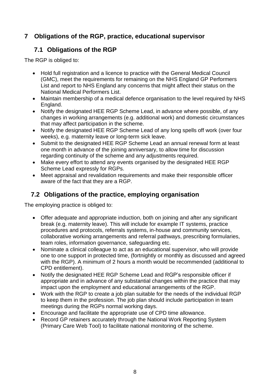## <span id="page-7-0"></span>**7 Obligations of the RGP, practice, educational supervisor**

## <span id="page-7-1"></span>**7.1 Obligations of the RGP**

The RGP is obliged to:

- Hold full registration and a licence to practice with the General Medical Council (GMC), meet the requirements for remaining on the NHS England GP Performers List and report to NHS England any concerns that might affect their status on the National Medical Performers List.
- Maintain membership of a medical defence organisation to the level required by NHS England.
- Notify the designated HEE RGP Scheme Lead, in advance where possible, of any changes in working arrangements (e.g. additional work) and domestic circumstances that may affect participation in the scheme.
- Notify the designated HEE RGP Scheme Lead of any long spells off work (over four weeks), e.g. maternity leave or long-term sick leave.
- Submit to the designated HEE RGP Scheme Lead an annual renewal form at least one month in advance of the joining anniversary, to allow time for discussion regarding continuity of the scheme and any adjustments required.
- Make every effort to attend any events organised by the designated HEE RGP Scheme Lead expressly for RGPs.
- Meet appraisal and revalidation requirements and make their responsible officer aware of the fact that they are a RGP.

# <span id="page-7-2"></span>**7.2 Obligations of the practice, employing organisation**

The employing practice is obliged to:

- Offer adequate and appropriate induction, both on joining and after any significant break (e.g. maternity leave). This will include for example IT systems, practice procedures and protocols, referrals systems, in-house and community services, collaborative working arrangements and referral pathways, prescribing formularies, team roles, information governance, safeguarding etc.
- Nominate a clinical colleague to act as an educational supervisor, who will provide one to one support in protected time, (fortnightly or monthly as discussed and agreed with the RGP). A minimum of 2 hours a month would be recommended (additional to CPD entitlement).
- Notify the designated HEE RGP Scheme Lead and RGP's responsible officer if appropriate and in advance of any substantial changes within the practice that may impact upon the employment and educational arrangements of the RGP.
- Work with the RGP to create a job plan suitable for the needs of the individual RGP to keep them in the profession. The job plan should include participation in team meetings during the RGPs normal working days.
- Encourage and facilitate the appropriate use of CPD time allowance.
- Record GP retainers accurately through the National Work Reporting System (Primary Care Web Tool) to facilitate national monitoring of the scheme.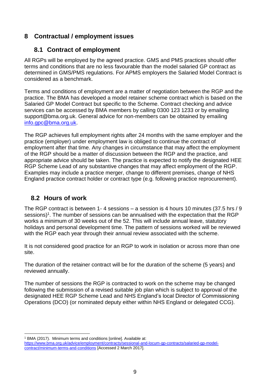## <span id="page-8-0"></span>**8 Contractual / employment issues**

## <span id="page-8-1"></span>**8.1 Contract of employment**

All RGPs will be employed by the agreed practice. GMS and PMS practices should offer terms and conditions that are no less favourable than the model salaried GP contract as determined in GMS/PMS regulations. For APMS employers the Salaried Model Contract is considered as a benchmark.

Terms and conditions of employment are a matter of negotiation between the RGP and the practice. The BMA has developed a model retainer scheme contract which is based on the Salaried GP Model Contract but specific to the Scheme. Contract checking and advice services can be accessed by BMA members by calling 0300 123 1233 or by emailing support@bma.org.uk. General advice for non-members can be obtained by emailing [info.gpc@bma.org.uk.](mailto:info.gpc@bma.org.uk)

The RGP achieves full employment rights after 24 months with the same employer and the practice (employer) under employment law is obliged to continue the contract of employment after that time. Any changes in circumstance that may affect the employment of the RGP should be a matter of discussion between the RGP and the practice, and appropriate advice should be taken. The practice is expected to notify the designated HEE RGP Scheme Lead of any substantive changes that may affect employment of the RGP. Examples may include a practice merger, change to different premises, change of NHS England practice contract holder or contract type (e.g. following practice reprocurement).

## <span id="page-8-2"></span>**8.2 Hours of work**

The RGP contract is between 1- 4 sessions – a session is 4 hours 10 minutes (37.5 hrs / 9 sessions)<sup>1</sup>. The number of sessions can be annualised with the expectation that the RGP works a minimum of 30 weeks out of the 52. This will include annual leave, statutory holidays and personal development time. The pattern of sessions worked will be reviewed with the RGP each year through their annual review associated with the scheme.

It is not considered good practice for an RGP to work in isolation or across more than one site.

The duration of the retainer contract will be for the duration of the scheme (5 years) and reviewed annually.

The number of sessions the RGP is contracted to work on the scheme may be changed following the submission of a revised suitable job plan which is subject to approval of the designated HEE RGP Scheme Lead and NHS England's local Director of Commissioning Operations (DCO) (or nominated deputy either within NHS England or delegated CCG).

l <sup>1</sup> BMA (2017). Minimum terms and conditions [online]. Available at: [https://www.bma.org.uk/advice/employment/contracts/sessional-and-locum-gp-contracts/salaried-gp-model](https://www.bma.org.uk/advice/employment/contracts/sessional-and-locum-gp-contracts/salaried-gp-model-contract/minimum-terms-and-conditions)[contract/minimum-terms-and-conditions](https://www.bma.org.uk/advice/employment/contracts/sessional-and-locum-gp-contracts/salaried-gp-model-contract/minimum-terms-and-conditions) [Accessed 2 March 2017].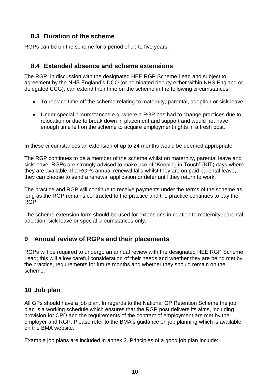## <span id="page-9-0"></span>**8.3 Duration of the scheme**

RGPs can be on the scheme for a period of up to five years.

#### <span id="page-9-1"></span>**8.4 Extended absence and scheme extensions**

The RGP, in discussion with the designated HEE RGP Scheme Lead and subject to agreement by the NHS England's DCO (or nominated deputy either within NHS England or delegated CCG), can extend their time on the scheme in the following circumstances.

- To replace time off the scheme relating to maternity, parental, adoption or sick leave.
- Under special circumstances e.g. where a RGP has had to change practices due to relocation or due to break down in placement and support and would not have enough time left on the scheme to acquire employment rights in a fresh post.

In these circumstances an extension of up to 24 months would be deemed appropriate.

The RGP continues to be a member of the scheme whilst on maternity, parental leave and sick leave. RGPs are strongly advised to make use of "Keeping in Touch" (KIT) days where they are available. If a RGPs annual renewal falls whilst they are on paid parental leave, they can choose to send a renewal application or defer until they return to work.

The practice and RGP will continue to receive payments under the terms of the scheme as long as the RGP remains contracted to the practice and the practice continues to pay the RGP.

The scheme extension form should be used for extensions in relation to maternity, parental, adoption, sick leave or special circumstances only.

#### <span id="page-9-2"></span>**9 Annual review of RGPs and their placements**

RGPs will be required to undergo an annual review with the designated HEE RGP Scheme Lead; this will allow careful consideration of their needs and whether they are being met by the practice, requirements for future months and whether they should remain on the scheme.

#### <span id="page-9-3"></span>**10 Job plan**

All GPs should have a job plan. In regards to the National GP Retention Scheme the job plan is a working schedule which ensures that the RGP post delivers its aims, including provision for CPD and the requirements of the contract of employment are met by the employer and RGP. Please refer to the BMA's [guidance on job planning](https://www.bma.org.uk/advice/employment/job-planning/job-plan-overview) which is available on the BMA website.

Example job plans are included in annex 2. Principles of a good job plan include: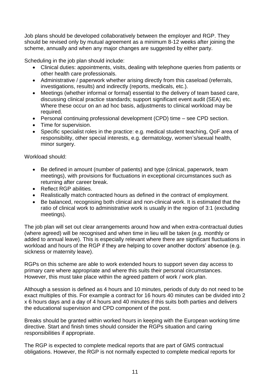Job plans should be developed collaboratively between the employer and RGP. They should be revised only by mutual agreement as a minimum 8-12 weeks after joining the scheme, annually and when any major changes are suggested by either party.

Scheduling in the job plan should include:

- Clinical duties: appointments, visits, dealing with telephone queries from patients or other health care professionals.
- Administrative / paperwork whether arising directly from this caseload (referrals, investigations, results) and indirectly (reports, medicals, etc.).
- Meetings (whether informal or formal) essential to the delivery of team based care, discussing clinical practice standards; support significant event audit (SEA) etc. Where these occur on an ad hoc basis, adjustments to clinical workload may be required.
- Personal continuing professional development (CPD) time see CPD section.
- Time for supervision.
- Specific specialist roles in the practice: e.g. medical student teaching, QoF area of responsibility, other special interests, e.g. dermatology, women's/sexual health, minor surgery.

Workload should:

- Be defined in amount (number of patients) and type (clinical, paperwork, team meetings), with provisions for fluctuations in exceptional circumstances such as returning after career break.
- Reflect RGP abilities.
- Realistically match contracted hours as defined in the contract of employment.
- Be balanced, recognising both clinical and non-clinical work. It is estimated that the ratio of clinical work to administrative work is usually in the region of 3:1 (excluding meetings).

The job plan will set out clear arrangements around how and when extra-contractual duties (where agreed) will be recognised and when time in lieu will be taken (e.g. monthly or added to annual leave). This is especially relevant where there are significant fluctuations in workload and hours of the RGP if they are helping to cover another doctors' absence (e.g. sickness or maternity leave).

RGPs on this scheme are able to work extended hours to support seven day access to primary care where appropriate and where this suits their personal circumstances. However, this must take place within the agreed pattern of work / work plan.

Although a session is defined as 4 hours and 10 minutes, periods of duty do not need to be exact multiples of this. For example a contract for 16 hours 40 minutes can be divided into 2 x 6 hours days and a day of 4 hours and 40 minutes if this suits both parties and delivers the educational supervision and CPD component of the post.

Breaks should be granted within worked hours in keeping with the European working time directive. Start and finish times should consider the RGPs situation and caring responsibilities if appropriate.

The RGP is expected to complete medical reports that are part of GMS contractual obligations. However, the RGP is not normally expected to complete medical reports for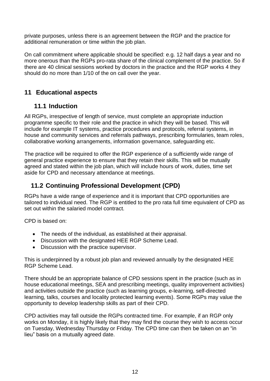private purposes, unless there is an agreement between the RGP and the practice for additional remuneration or time within the job plan.

On call commitment where applicable should be specified: e.g. 12 half days a year and no more onerous than the RGPs pro-rata share of the clinical complement of the practice. So if there are 40 clinical sessions worked by doctors in the practice and the RGP works 4 they should do no more than 1/10 of the on call over the year.

## <span id="page-11-0"></span>**11 Educational aspects**

#### <span id="page-11-1"></span>**11.1 Induction**

All RGPs, irrespective of length of service, must complete an appropriate induction programme specific to their role and the practice in which they will be based. This will include for example IT systems, practice procedures and protocols, referral systems, in house and community services and referrals pathways, prescribing formularies, team roles, collaborative working arrangements, information governance, safeguarding etc.

The practice will be required to offer the RGP experience of a sufficiently wide range of general practice experience to ensure that they retain their skills. This will be mutually agreed and stated within the job plan, which will include hours of work, duties, time set aside for CPD and necessary attendance at meetings.

## <span id="page-11-2"></span>**11.2 Continuing Professional Development (CPD)**

RGPs have a wide range of experience and it is important that CPD opportunities are tailored to individual need. The RGP is entitled to the pro rata full time equivalent of CPD as set out within the salaried model contract.

CPD is based on:

- The needs of the individual, as established at their appraisal.
- Discussion with the designated HEE RGP Scheme Lead.
- Discussion with the practice supervisor.

This is underpinned by a robust job plan and reviewed annually by the designated HEE RGP Scheme Lead.

There should be an appropriate balance of CPD sessions spent in the practice (such as in house educational meetings, SEA and prescribing meetings, quality improvement activities) and activities outside the practice (such as learning groups, e-learning, self-directed learning, talks, courses and locality protected learning events). Some RGPs may value the opportunity to develop leadership skills as part of their CPD.

CPD activities may fall outside the RGPs contracted time. For example, if an RGP only works on Monday, it is highly likely that they may find the course they wish to access occur on Tuesday, Wednesday Thursday or Friday. The CPD time can then be taken on an "in lieu" basis on a mutually agreed date.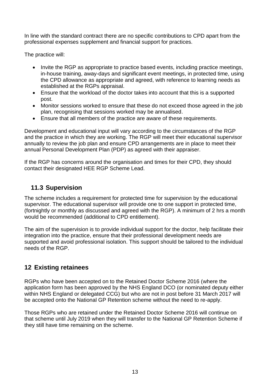In line with the standard contract there are no specific contributions to CPD apart from the professional expenses supplement and financial support for practices.

The practice will:

- Invite the RGP as appropriate to practice based events, including practice meetings, in-house training, away-days and significant event meetings, in protected time, using the CPD allowance as appropriate and agreed, with reference to learning needs as established at the RGPs appraisal.
- Ensure that the workload of the doctor takes into account that this is a supported post.
- Monitor sessions worked to ensure that these do not exceed those agreed in the job plan, recognising that sessions worked may be annualised.
- Ensure that all members of the practice are aware of these requirements.

Development and educational input will vary according to the circumstances of the RGP and the practice in which they are working. The RGP will meet their educational supervisor annually to review the job plan and ensure CPD arrangements are in place to meet their annual Personal Development Plan (PDP) as agreed with their appraiser.

If the RGP has concerns around the organisation and times for their CPD, they should contact their designated HEE RGP Scheme Lead.

## <span id="page-12-0"></span>**11.3 Supervision**

The scheme includes a requirement for protected time for supervision by the educational supervisor. The educational supervisor will provide one to one support in protected time, (fortnightly or monthly as discussed and agreed with the RGP). A minimum of 2 hrs a month would be recommended (additional to CPD entitlement).

The aim of the supervision is to provide individual support for the doctor, help facilitate their integration into the practice, ensure that their professional development needs are supported and avoid professional isolation. This support should be tailored to the individual needs of the RGP.

## <span id="page-12-1"></span>**12 Existing retainees**

RGPs who have been accepted on to the Retained Doctor Scheme 2016 (where the application form has been approved by the NHS England DCO (or nominated deputy either within NHS England or delegated CCG) but who are not in post before 31 March 2017 will be accepted onto the National GP Retention scheme without the need to re-apply.

Those RGPs who are retained under the Retained Doctor Scheme 2016 will continue on that scheme until July 2019 when they will transfer to the National GP Retention Scheme if they still have time remaining on the scheme.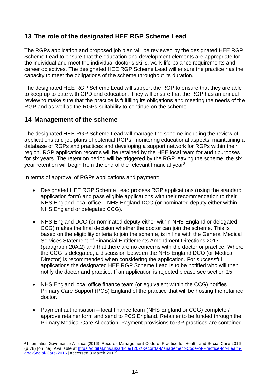## <span id="page-13-0"></span>**13 The role of the designated HEE RGP Scheme Lead**

The RGPs application and proposed job plan will be reviewed by the designated HEE RGP Scheme Lead to ensure that the education and development elements are appropriate for the individual and meet the individual doctor's skills, work-life balance requirements and career objectives. The designated HEE RGP Scheme Lead will ensure the practice has the capacity to meet the obligations of the scheme throughout its duration.

The designated HEE RGP Scheme Lead will support the RGP to ensure that they are able to keep up to date with CPD and education. They will ensure that the RGP has an annual review to make sure that the practice is fulfilling its obligations and meeting the needs of the RGP and as well as the RGPs suitability to continue on the scheme.

#### <span id="page-13-1"></span>**14 Management of the scheme**

The designated HEE RGP Scheme Lead will manage the scheme including the review of applications and job plans of potential RGPs, monitoring educational aspects, maintaining a database of RGPs and practices and developing a support network for RGPs within their region. RGP application records will be retained by the HEE local team for audit purposes for six years. The retention period will be triggered by the RGP leaving the scheme, the six year retention will begin from the end of the relevant financial year<sup>2</sup>.

In terms of approval of RGPs applications and payment:

- Designated HEE RGP Scheme Lead process RGP applications (using the standard application form) and pass eligible applications with their recommendation to their NHS England local office – NHS England DCO (or nominated deputy either within NHS England or delegated CCG).
- NHS England DCO (or nominated deputy either within NHS England or delegated CCG) makes the final decision whether the doctor can join the scheme. This is based on the eligibility criteria to join the scheme, is in line with the General Medical Services Statement of Financial Entitlements Amendment Directions 2017 (paragraph 20A.2) and that there are no concerns with the doctor or practice. Where the CCG is delegated, a discussion between the NHS England DCO (or Medical Director) is recommended when considering the application. For successful applications the designated HEE RGP Scheme Lead is to be notified who will then notify the doctor and practice. If an application is rejected please see section 15.
- NHS England local office finance team (or equivalent within the CCG) notifies Primary Care Support (PCS) England of the practice that will be hosting the retained doctor.
- Payment authorisation local finance team (NHS England or CCG) complete / approve retainer form and send to PCS England. Retainer to be funded through the Primary Medical Care Allocation. Payment provisions to GP practices are contained

l 2 Information Governance Alliance (2016). [Records Management Code of Practice for Health and Social Care 2016](https://digital.nhs.uk/media/1158/Records-Management-Code-of-Practice-for-Health-and-Social-Care-2016/pdf/Records-management-COP-HSC-2016) [\(p.78\)](https://digital.nhs.uk/media/1158/Records-Management-Code-of-Practice-for-Health-and-Social-Care-2016/pdf/Records-management-COP-HSC-2016) [online]. Available at [https://digital.nhs.uk/article/1202/Records-Management-Code-of-Practice-for-Health](https://digital.nhs.uk/article/1202/Records-Management-Code-of-Practice-for-Health-and-Social-Care-2016)[and-Social-Care-2016](https://digital.nhs.uk/article/1202/Records-Management-Code-of-Practice-for-Health-and-Social-Care-2016) [Accessed 8 March 2017].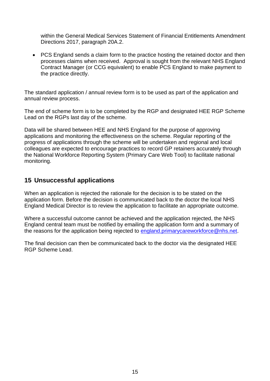within the General Medical Services Statement of Financial Entitlements Amendment Directions 2017, paragraph 20A.2.

• PCS England sends a claim form to the practice hosting the retained doctor and then processes claims when received. Approval is sought from the relevant NHS England Contract Manager (or CCG equivalent) to enable PCS England to make payment to the practice directly.

The standard application / annual review form is to be used as part of the application and annual review process.

The end of scheme form is to be completed by the RGP and designated HEE RGP Scheme Lead on the RGPs last day of the scheme.

Data will be shared between HEE and NHS England for the purpose of approving applications and monitoring the effectiveness on the scheme. Regular reporting of the progress of applications through the scheme will be undertaken and regional and local colleagues are expected to encourage practices to record GP retainers accurately through the National Workforce Reporting System (Primary Care Web Tool) to facilitate national monitoring.

## <span id="page-14-0"></span>**15 Unsuccessful applications**

When an application is rejected the rationale for the decision is to be stated on the application form. Before the decision is communicated back to the doctor the local NHS England Medical Director is to review the application to facilitate an appropriate outcome.

Where a successful outcome cannot be achieved and the application rejected, the NHS England central team must be notified by emailing the application form and a summary of the reasons for the application being rejected to [england.primarycareworkforce@nhs.net.](mailto:england.primarycareworkforce@nhs.net)

The final decision can then be communicated back to the doctor via the designated HEE RGP Scheme Lead.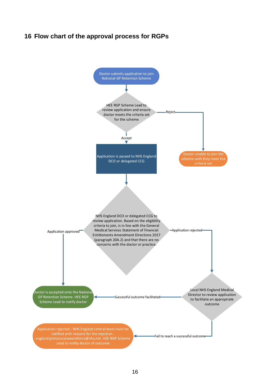#### <span id="page-15-0"></span>**16 Flow chart of the approval process for RGPs**

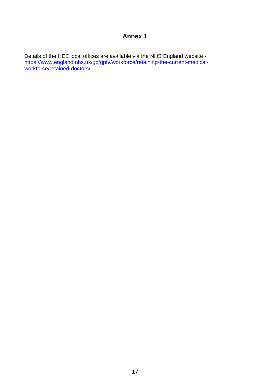## **Annex 1**

Details of the HEE local offices are available via the NHS England website [https://www.england.nhs.uk/gp/gpfv/workforce/retaining-the-current-medical](https://www.england.nhs.uk/gp/gpfv/workforce/retaining-the-current-medical-workforce/retained-doctors/)[workforce/retained-doctors/](https://www.england.nhs.uk/gp/gpfv/workforce/retaining-the-current-medical-workforce/retained-doctors/)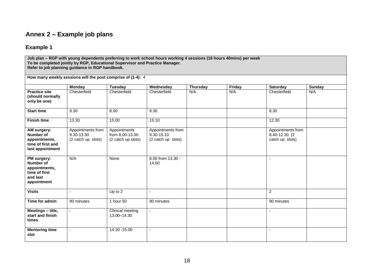# **Annex 2 – Example job plans**

#### **Example 1**

**Job plan – RGP with young dependents preferring to work school hours working 4 sessions (16 hours 40mins) per week To be completed jointly by RGP, Educational Supervisor and Practice Manager. Refer to job planning guidance in RGP handbook.**

**How many weekly sessions will the post comprise of (1-4):** 4

|                                                                                              | Monday                                                | <b>Tuesday</b>                                        | Wednesday                                             | <b>Thursday</b> | Friday | <b>Saturday</b>                                        | Sunday |
|----------------------------------------------------------------------------------------------|-------------------------------------------------------|-------------------------------------------------------|-------------------------------------------------------|-----------------|--------|--------------------------------------------------------|--------|
| <b>Practice site</b><br>(should normally<br>only be one)                                     | Chesterfield                                          | Chesterfield                                          | Chesterfield                                          | N/A             | N/A    | Chesterfield                                           | N/A    |
| <b>Start time</b>                                                                            | 9.30                                                  | 8.00                                                  | 9.30                                                  |                 |        | 8.30                                                   |        |
| <b>Finish time</b>                                                                           | 13.30                                                 | 15.00                                                 | 15.10                                                 |                 |        | 12.30                                                  |        |
| AM surgery:<br>Number of<br>appointments,<br>time of first and<br>last appointment           | Appointments from<br>9.30-13.30<br>(2 catch up slots) | Appointments<br>from 8.00-13.00<br>(2 catch up slots) | Appointments from<br>9.30-15.10<br>(2 catch up slots) |                 |        | Appointments from<br>8.40-12.30 (2)<br>catch up slots) |        |
| PM surgery:<br><b>Number of</b><br>appointments,<br>time of first<br>and last<br>appointment | N/A                                                   | None                                                  | 8.00 from 13.30 -<br>14.50                            |                 |        |                                                        |        |
| <b>Visits</b>                                                                                | $\sim$                                                | Up to 2                                               | $\overline{a}$                                        |                 |        | $\overline{c}$                                         |        |
| Time for admin                                                                               | 90 minutes                                            | 1 hour 50                                             | 90 minutes                                            |                 |        | 90 minutes                                             |        |
| Meetings - title,<br>start and finish<br>times                                               | $\sim$                                                | Clinical meeting<br>13.00-14.30                       | ä,                                                    |                 |        | $\overline{a}$                                         |        |
| <b>Mentoring time</b><br>slot                                                                | $\blacksquare$                                        | 14.30 - 15.00                                         | $\sim$                                                |                 |        | $\blacksquare$                                         |        |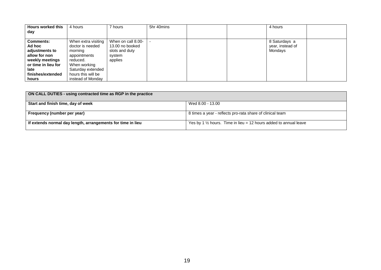| <b>Hours worked this</b> | 4 hours             | 7 hours            | 5hr 40mins |  | 4 hours          |  |
|--------------------------|---------------------|--------------------|------------|--|------------------|--|
| day                      |                     |                    |            |  |                  |  |
|                          |                     |                    |            |  |                  |  |
| <b>Comments:</b>         | When extra visiting | When on call 8.00- |            |  | 8 Saturdays a    |  |
| Ad hoc                   | doctor is needed    | 13.00 no booked    |            |  | year, instead of |  |
| adjustments to           | morning             | slots and duty     |            |  | Mondays          |  |
| allow for non            | appointments        | system             |            |  |                  |  |
| weekly meetings          | reduced.            | applies            |            |  |                  |  |
| or time in lieu for      | When working        |                    |            |  |                  |  |
| late                     | Saturday extended   |                    |            |  |                  |  |
| finishes/extended        | hours this will be  |                    |            |  |                  |  |
| hours                    | instead of Monday   |                    |            |  |                  |  |

| ON CALL DUTIES - using contracted time as RGP in the practice |                                                                             |  |  |  |  |  |  |
|---------------------------------------------------------------|-----------------------------------------------------------------------------|--|--|--|--|--|--|
| Start and finish time, day of week                            | Wed 8.00 - 13.00                                                            |  |  |  |  |  |  |
| Frequency (number per year)                                   | 8 times a year - reflects pro-rata share of clinical team                   |  |  |  |  |  |  |
| If extends normal day length, arrangements for time in lieu   | Yes by 1 $\frac{1}{2}$ hours. Time in lieu = 12 hours added to annual leave |  |  |  |  |  |  |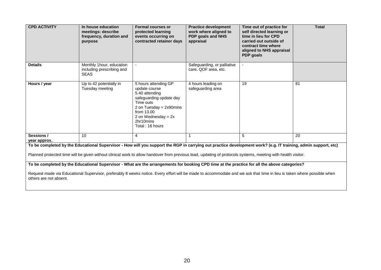| <b>CPD ACTIVITY</b>                                                                                                                                                                                                                                                                                                                                                                                                                                                                                                                                                                                                                                                                | In house education<br>meetings: describe<br>frequency, duration and<br>purpose | <b>Formal courses or</b><br>protected learning<br>events occurring on<br>contracted retainer days                                                                                                      | <b>Practice development</b><br>work where aligned to<br>PDP goals and NHS<br>appraisal | Time out of practice for<br>self directed learning or<br>time in lieu for CPD<br>carried out outside of<br>contract time where<br>aligned to NHS appraisal<br><b>PDP</b> goals | <b>Total</b> |  |  |  |
|------------------------------------------------------------------------------------------------------------------------------------------------------------------------------------------------------------------------------------------------------------------------------------------------------------------------------------------------------------------------------------------------------------------------------------------------------------------------------------------------------------------------------------------------------------------------------------------------------------------------------------------------------------------------------------|--------------------------------------------------------------------------------|--------------------------------------------------------------------------------------------------------------------------------------------------------------------------------------------------------|----------------------------------------------------------------------------------------|--------------------------------------------------------------------------------------------------------------------------------------------------------------------------------|--------------|--|--|--|
| <b>Details</b>                                                                                                                                                                                                                                                                                                                                                                                                                                                                                                                                                                                                                                                                     | Monthly 1hour, education<br>including prescribing and<br><b>SEAS</b>           |                                                                                                                                                                                                        | Safeguarding, or palliative<br>care, QOF area, etc.                                    | $\overline{a}$                                                                                                                                                                 |              |  |  |  |
| Hours / year                                                                                                                                                                                                                                                                                                                                                                                                                                                                                                                                                                                                                                                                       | Up to 42 potentially in<br>Tuesday meeting                                     | 5 hours attending GP<br>update course<br>5.40 attending<br>safeguarding update day<br>Time outs<br>2 on Tuesday = $2x90$ mins<br>from $13.00$<br>2 on Wednesday = $2x$<br>2hr10mins<br>Total: 16 hours | 4 hours leading on<br>safeguarding area                                                | 19                                                                                                                                                                             | 81           |  |  |  |
| Sessions/<br>year approx.                                                                                                                                                                                                                                                                                                                                                                                                                                                                                                                                                                                                                                                          | 10                                                                             | $\overline{4}$                                                                                                                                                                                         | 1                                                                                      | 5                                                                                                                                                                              | 20           |  |  |  |
| To be completed by the Educational Supervisor - How will you support the RGP in carrying out practice development work? (e.g. IT training, admin support, etc)<br>Planned protected time will be given without clinical work to allow handover from previous lead, updating of protocols systems, meeting with health visitor.<br>To be completed by the Educational Supervisor - What are the arrangements for booking CPD time at the practice for all the above categories?<br>Request made via Educational Supervisor, preferably 8 weeks notice. Every effort will be made to accommodate and we ask that time in lieu is taken where possible when<br>others are not absent. |                                                                                |                                                                                                                                                                                                        |                                                                                        |                                                                                                                                                                                |              |  |  |  |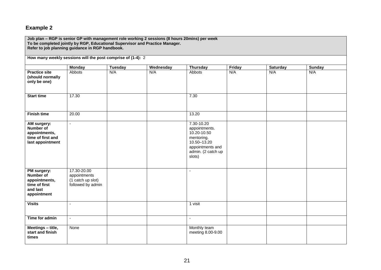#### **Example 2**

**Job plan – RGP is senior GP with management role working 2 sessions (8 hours 20mins) per week To be completed jointly by RGP, Educational Supervisor and Practice Manager. Refer to job planning guidance in RGP handbook. How many weekly sessions will the post comprise of (1-4):** 2 **Monday Tuesday Wednesday Thursday Friday Saturday Sunday Practice site (should normally only be one)** Abbots | N/A | N/A | Abbots | N/A | N/A | N/A **Start time** 17.30 **7.30 Finish time** 20.00 13.20 **AM surgery: Number of appointments, time of first and last appointment** - 7.30-10.20 appointments. 10.20-10.50 mentoring. 10.50–13.20 appointments and admin. (2 catch up slots) **PM surgery: Number of appointments, time of first and last appointment** 17.30-20.00 appointments (1 catch up slot) followed by admin - **Visits** - 1 visit **Time for admin** - - **Meetings – title, start and finish times** None Monthly team meeting 8.00-9.00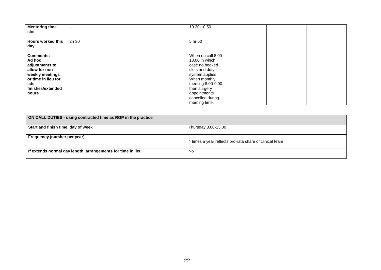| <b>Mentoring time</b><br>slot                                                                                                                 |       |  | 10.20-10.50                                                                                                                                                                                           |  |  |
|-----------------------------------------------------------------------------------------------------------------------------------------------|-------|--|-------------------------------------------------------------------------------------------------------------------------------------------------------------------------------------------------------|--|--|
| <b>Hours worked this</b><br>day                                                                                                               | 2h 30 |  | 5 hr 50                                                                                                                                                                                               |  |  |
| <b>Comments:</b><br>Ad hoc<br>adjustments to<br>allow for non<br>weekly meetings<br>or time in lieu for<br>late<br>finishes/extended<br>hours |       |  | When on call 8.00-<br>13.00 in which<br>case no booked<br>slots and duty<br>system applies.<br>When monthly<br>meeting 8.00-9.00<br>then surgery<br>appointments<br>cancelled during<br>meeting time. |  |  |

| ON CALL DUTIES - using contracted time as RGP in the practice |                                                         |  |  |  |  |  |  |
|---------------------------------------------------------------|---------------------------------------------------------|--|--|--|--|--|--|
| Start and finish time, day of week                            | Thursday 8.00-13.00                                     |  |  |  |  |  |  |
| Frequency (number per year)                                   | 4 times a year reflects pro-rata share of clinical team |  |  |  |  |  |  |
| If extends normal day length, arrangements for time in lieu   | <b>No</b>                                               |  |  |  |  |  |  |